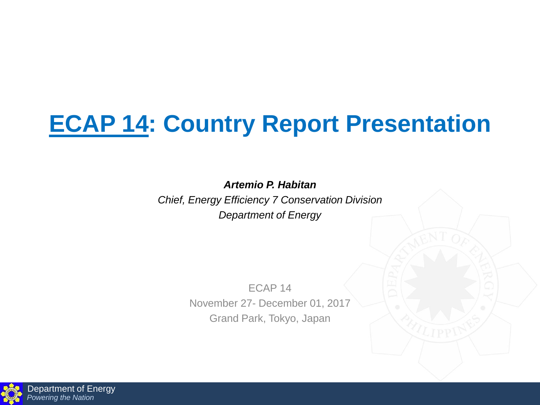## **ECAP 14: Country Report Presentation**

*Artemio P. Habitan*

*Chief, Energy Efficiency 7 Conservation Division Department of Energy*

> ECAP 14 November 27- December 01, 2017 Grand Park, Tokyo, Japan

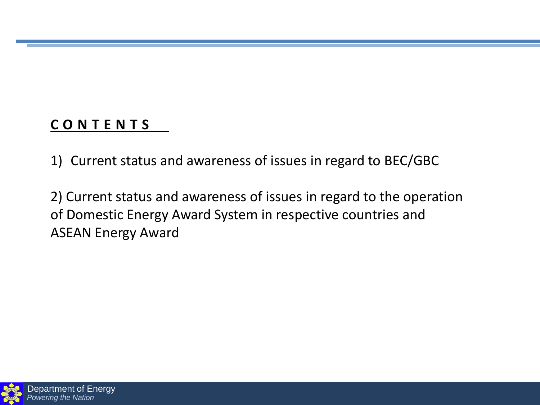## **C O N T E N T S**

1) Current status and awareness of issues in regard to BEC/GBC

2) Current status and awareness of issues in regard to the operation of Domestic Energy Award System in respective countries and ASEAN Energy Award

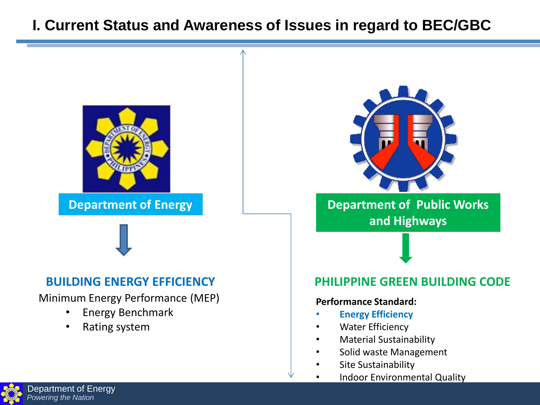## **I. Current Status and Awareness of Issues in regard to BEC/GBC**





#### **BUILDING ENERGY EFFICIENCY**

Minimum Energy Performance (MEP)

- Energy Benchmark
- Rating system



**Department of Energy 19 Constitution Construction Department of Public Works and Highways**

#### **PHILIPPINE GREEN BUILDING CODE**

#### **Performance Standard:**

- **Energy Efficiency**
- **Water Efficiency**
- Material Sustainability
- Solid waste Management
- Site Sustainability
- Indoor Environmental Quality

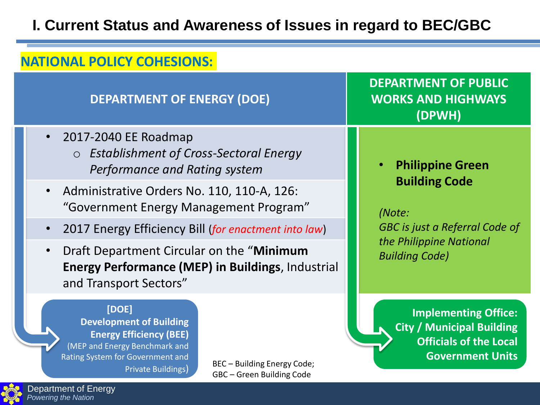## **I. Current Status and Awareness of Issues in regard to BEC/GBC**

#### **NATIONAL POLICY COHESIONS:**

#### **DEPARTMENT OF ENERGY (DOE)**

- 2017-2040 EE Roadmap
	- o *Establishment of Cross-Sectoral Energy Performance and Rating system* • **Philippine Green**
- Administrative Orders No. 110, 110-A, 126: "Government Energy Management Program"
- 2017 Energy Efficiency Bill (*for enactment into law*)
- Draft Department Circular on the "**Minimum Energy Performance (MEP) in Buildings**, Industrial and Transport Sectors"

**[DOE] Development of Building Energy Efficiency (BEE)** (MEP and Energy Benchmark and Rating System for Government and Private Buildings)

BEC – Building Energy Code; GBC – Green Building Code

**DEPARTMENT OF PUBLIC WORKS AND HIGHWAYS (DPWH)**

# **Building Code**

*(Note:* 

*GBC is just a Referral Code of the Philippine National Building Code)*

> **Implementing Office: City / Municipal Building Officials of the Local Government Units**



Department of Energy *Powering the Nation*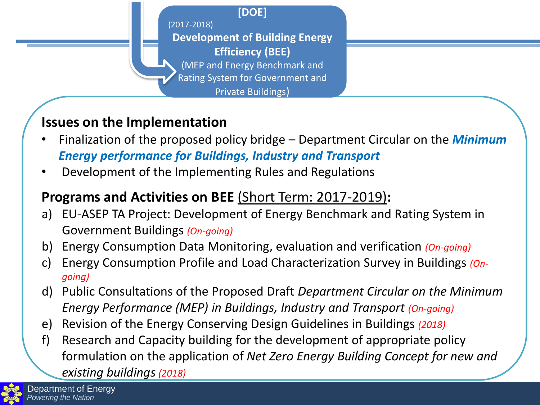**[DOE]**

(2017-2018)

**Development of Building Energy Efficiency (BEE)**

(MEP and Energy Benchmark and

Rating System for Government and

Private Buildings)

## **Issues on the Implementation**

- Finalization of the proposed policy bridge Department Circular on the *Minimum Energy performance for Buildings, Industry and Transport*
- Development of the Implementing Rules and Regulations

## **Programs and Activities on BEE** (Short Term: 2017-2019)**:**

- a) EU-ASEP TA Project: Development of Energy Benchmark and Rating System in Government Buildings *(On-going)*
- b) Energy Consumption Data Monitoring, evaluation and verification *(On-going)*
- c) Energy Consumption Profile and Load Characterization Survey in Buildings *(Ongoing)*
- d) Public Consultations of the Proposed Draft *Department Circular on the Minimum Energy Performance (MEP) in Buildings, Industry and Transport (On-going)*
- e) Revision of the Energy Conserving Design Guidelines in Buildings *(2018)*
- f) Research and Capacity building for the development of appropriate policy formulation on the application of *Net Zero Energy Building Concept for new and existing buildings(2018)*

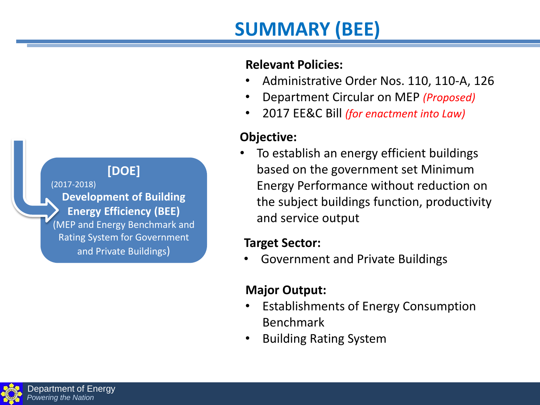### **[DOE]**

(2017-2018) **Development of Building Energy Efficiency (BEE)** (MEP and Energy Benchmark and Rating System for Government and Private Buildings)

#### **Relevant Policies:**

**SUMMARY (BEE)**

- Administrative Order Nos. 110, 110-A, 126
- Department Circular on MEP *(Proposed)*
- 2017 EE&C Bill *(for enactment into Law)*

#### **Objective:**

• To establish an energy efficient buildings based on the government set Minimum Energy Performance without reduction on the subject buildings function, productivity and service output

#### **Target Sector:**

• Government and Private Buildings

#### **Major Output:**

- Establishments of Energy Consumption Benchmark
- Building Rating System

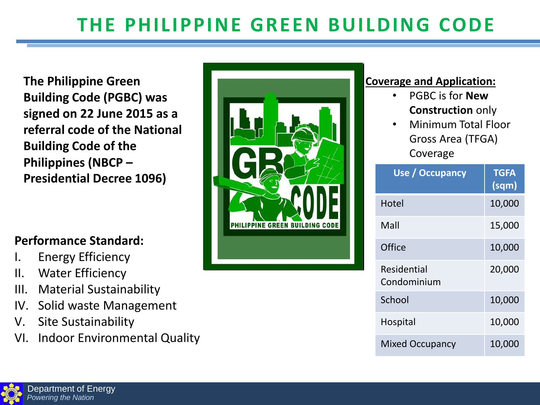## **THE PHILIPPINE GREEN BUILDING CODE**

**The Philippine Green Building Code (PGBC) was signed on 22 June 2015 as a referral code of the National Building Code of the Philippines (NBCP – Presidential Decree 1096)**

#### **Performance Standard:**

- I. Energy Efficiency
- II. Water Efficiency
- III. Material Sustainability
- IV. Solid waste Management
- V. Site Sustainability
- VI. Indoor Environmental Quality



#### **Coverage and Application:**

- PGBC is for **New Construction** only
- Minimum Total Floor Gross Area (TFGA) Coverage

| Use / Occupancy            | <b>TGFA</b><br>(sqm) |
|----------------------------|----------------------|
| Hotel                      | 10,000               |
| Mall                       | 15,000               |
| Office                     | 10,000               |
| Residential<br>Condominium | 20,000               |
| School                     | 10,000               |
| <b>Hospital</b>            | 10,000               |
| <b>Mixed Occupancy</b>     | 10,000               |

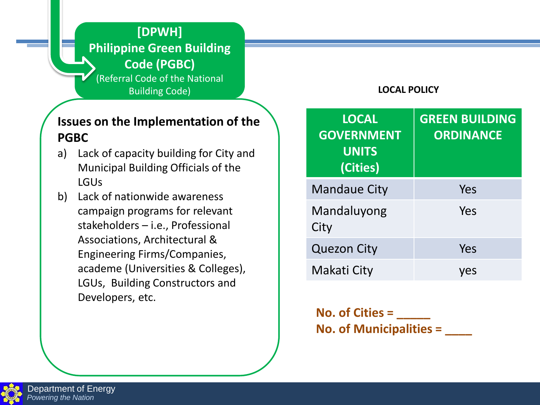**[DPWH] Philippine Green Building Code (PGBC)** (Referral Code of the National Building Code)

#### **Issues on the Implementation of the PGBC**

- a) Lack of capacity building for City and Municipal Building Officials of the LGUs
- b) Lack of nationwide awareness campaign programs for relevant stakeholders – i.e., Professional Associations, Architectural & Engineering Firms/Companies, academe (Universities & Colleges), LGUs, Building Constructors and Developers, etc.

#### **LOCAL POLICY**

| <b>LOCAL</b><br><b>GOVERNMENT</b><br><b>UNITS</b><br>(Cities) | <b>GREEN BUILDING</b><br><b>ORDINANCE</b> |
|---------------------------------------------------------------|-------------------------------------------|
| <b>Mandaue City</b>                                           | Yes                                       |
| Mandaluyong<br>City                                           | Yes                                       |
| <b>Quezon City</b>                                            | Yes                                       |
| Makati City                                                   | ves                                       |

**No. of Cities = \_\_\_\_\_ No. of Municipalities = \_\_\_\_**

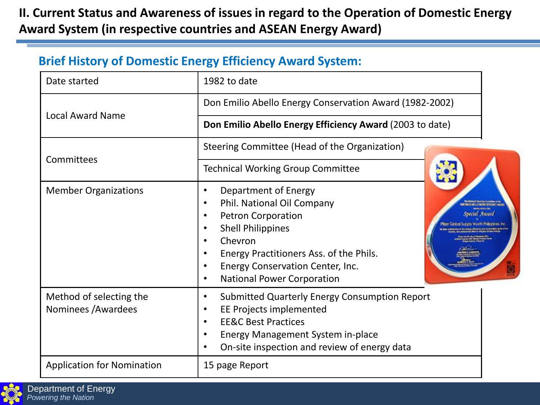#### **II. Current Status and Awareness of issues in regard to the Operation of Domestic Energy Award System (in respective countries and ASEAN Energy Award)**

#### **Brief History of Domestic Energy Efficiency Award System:**

| Date started                                   | 1982 to date                                                                                                                                                                                                                                            |  |
|------------------------------------------------|---------------------------------------------------------------------------------------------------------------------------------------------------------------------------------------------------------------------------------------------------------|--|
| <b>Local Award Name</b>                        | Don Emilio Abello Energy Conservation Award (1982-2002)                                                                                                                                                                                                 |  |
|                                                | Don Emilio Abello Energy Efficiency Award (2003 to date)                                                                                                                                                                                                |  |
| Committees                                     | Steering Committee (Head of the Organization)                                                                                                                                                                                                           |  |
|                                                | <b>Technical Working Group Committee</b>                                                                                                                                                                                                                |  |
| <b>Member Organizations</b>                    | Department of Energy<br>Phil. National Oil Company<br>$\bullet$<br><b>Petron Corporation</b><br><b>Shell Philippines</b><br>Chevron<br>Energy Practitioners Ass. of the Phils.<br>Energy Conservation Center, Inc.<br><b>National Power Corporation</b> |  |
| Method of selecting the<br>Nominees / Awardees | <b>Submitted Quarterly Energy Consumption Report</b><br>$\bullet$<br>EE Projects implemented<br><b>EE&amp;C Best Practices</b><br>$\bullet$<br><b>Energy Management System in-place</b><br>On-site inspection and review of energy data                 |  |
| <b>Application for Nomination</b>              | 15 page Report                                                                                                                                                                                                                                          |  |

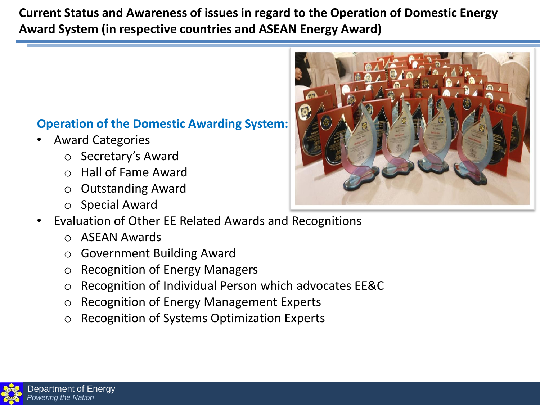#### **Current Status and Awareness of issues in regard to the Operation of Domestic Energy Award System (in respective countries and ASEAN Energy Award)**

#### **Operation of the Domestic Awarding System:**

- Award Categories
	- o Secretary's Award
	- o Hall of Fame Award
	- o Outstanding Award
	- o Special Award
- Evaluation of Other EE Related Awards and Recognitions
	- o ASEAN Awards
	- o Government Building Award
	- o Recognition of Energy Managers
	- o Recognition of Individual Person which advocates EE&C
	- o Recognition of Energy Management Experts
	- o Recognition of Systems Optimization Experts



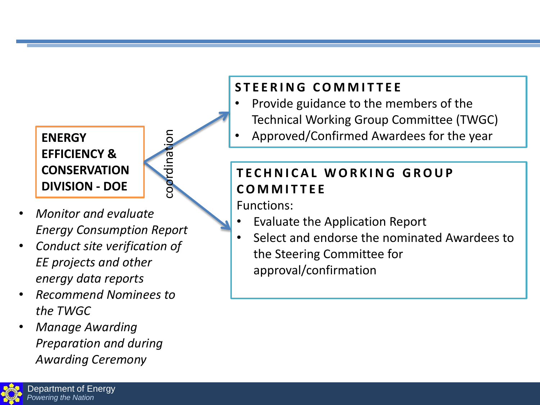#### **ENERGY EFFICIENCY & CONSERVATION DIVISION - DOE**



- *Monitor and evaluate Energy Consumption Report*
- *Conduct site verification of EE projects and other energy data reports*
- *Recommend Nominees to the TWGC*
- *Manage Awarding Preparation and during Awarding Ceremony*

## **S T E E R I N G C O M M I T T E E**

- Provide guidance to the members of the Technical Working Group Committee (TWGC)
- Approved/Confirmed Awardees for the year

## **T E C H N I C A L W O R K I N G G R O U P C O M M I T T E E**

Functions:

- Evaluate the Application Report
- Select and endorse the nominated Awardees to the Steering Committee for approval/confirmation

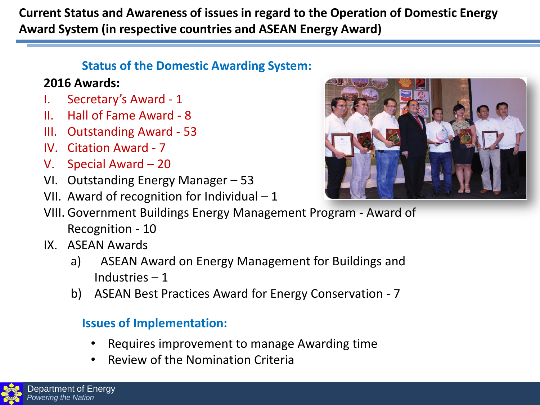**Current Status and Awareness of issues in regard to the Operation of Domestic Energy Award System (in respective countries and ASEAN Energy Award)**

#### **Status of the Domestic Awarding System:**

#### **2016 Awards:**

- I. Secretary's Award 1
- II. Hall of Fame Award 8
- III. Outstanding Award 53
- IV. Citation Award 7
- V. Special Award 20
- VI. Outstanding Energy Manager 53
- VII. Award of recognition for Individual 1



- VIII. Government Buildings Energy Management Program Award of Recognition - 10
- IX. ASEAN Awards
	- a) ASEAN Award on Energy Management for Buildings and Industries – 1
	- b) ASEAN Best Practices Award for Energy Conservation 7

#### **Issues of Implementation:**

- Requires improvement to manage Awarding time
- Review of the Nomination Criteria